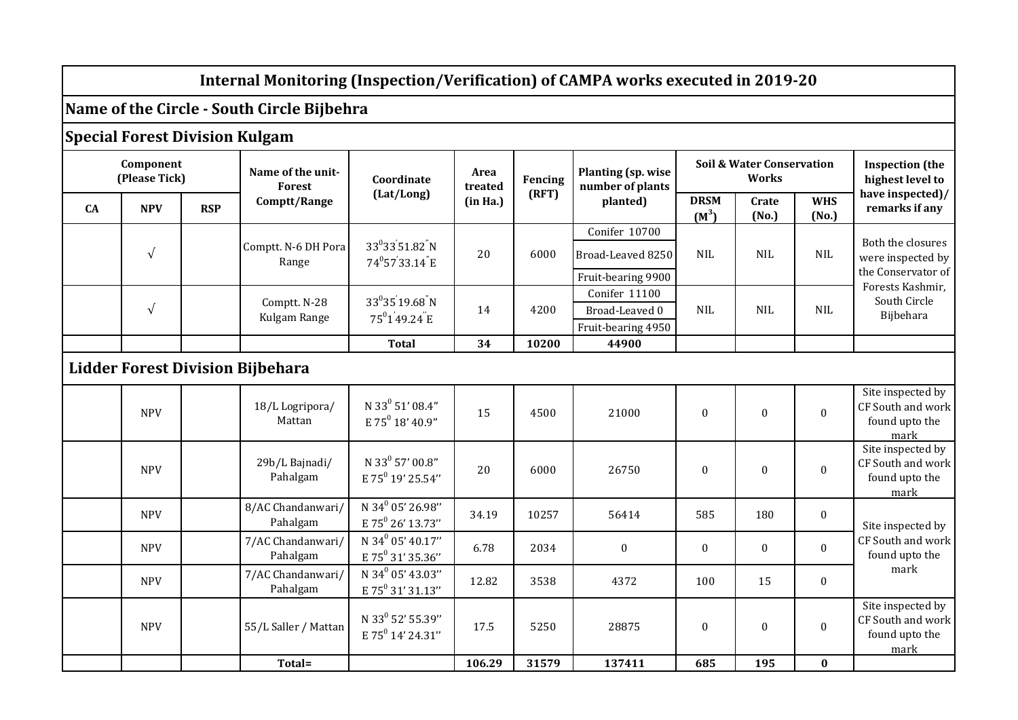## **Internal Monitoring (Inspection/Verification) of CAMPA works executed in 2019-20**

## **Name of the Circle - South Circle Bijbehra**

## **Special Forest Division Kulgam**

| Component<br>(Please Tick)              |            |            | Name of the unit-<br>Forest   | Coordinate                                                                        | Area<br>treated | Fencing | Planting (sp. wise<br>number of plants                   | <b>Soil &amp; Water Conservation</b><br><b>Works</b> |                |                     | <b>Inspection</b> (the<br>highest level to                                                                    |
|-----------------------------------------|------------|------------|-------------------------------|-----------------------------------------------------------------------------------|-----------------|---------|----------------------------------------------------------|------------------------------------------------------|----------------|---------------------|---------------------------------------------------------------------------------------------------------------|
| <b>CA</b>                               | <b>NPV</b> | <b>RSP</b> | Comptt/Range                  | (Lat/Long)                                                                        | (in Ha.)        | (RFT)   | planted)                                                 | <b>DRSM</b><br>$(M^3)$                               | Crate<br>(No.) | <b>WHS</b><br>(No.) | have inspected)/<br>remarks if any                                                                            |
|                                         | $\sqrt{ }$ |            | Comptt. N-6 DH Pora<br>Range  | 33 <sup>0</sup> 33 <sup>'</sup> 51.82 <sup>"</sup> N<br>74 <sup>0</sup> 5733.14 E | 20              | 6000    | Conifer 10700<br>Broad-Leaved 8250<br>Fruit-bearing 9900 | <b>NIL</b>                                           | <b>NIL</b>     | <b>NIL</b>          | Both the closures<br>were inspected by<br>the Conservator of<br>Forests Kashmir,<br>South Circle<br>Bijbehara |
|                                         | $\sqrt{ }$ |            | Comptt. N-28<br>Kulgam Range  | $33^03519.68N$<br>75 <sup>0</sup> 149.24 E                                        | 14              | 4200    | Conifer 11100<br>Broad-Leaved 0<br>Fruit-bearing 4950    | <b>NIL</b>                                           | <b>NIL</b>     | <b>NIL</b>          |                                                                                                               |
|                                         |            |            |                               | <b>Total</b>                                                                      | 34              | 10200   | 44900                                                    |                                                      |                |                     |                                                                                                               |
| <b>Lidder Forest Division Bijbehara</b> |            |            |                               |                                                                                   |                 |         |                                                          |                                                      |                |                     |                                                                                                               |
|                                         | <b>NPV</b> |            | 18/L Logripora/<br>Mattan     | N 33 <sup>0</sup> 51' 08.4"<br>E 75 $^{0}$ 18' 40.9"                              | 15              | 4500    | 21000                                                    | $\mathbf{0}$                                         | $\mathbf{0}$   | $\mathbf{0}$        | Site inspected by<br>CF South and work<br>found upto the<br>mark                                              |
|                                         | <b>NPV</b> |            | 29b/L Bajnadi/<br>Pahalgam    | N 33 <sup>0</sup> 57' 00.8"<br>E 75 <sup>0</sup> 19' 25.54"                       | 20              | 6000    | 26750                                                    | $\mathbf{0}$                                         | $\mathbf{0}$   | $\boldsymbol{0}$    | Site inspected by<br>CF South and work<br>found upto the<br>mark                                              |
|                                         | <b>NPV</b> |            | 8/AC Chandanwari/<br>Pahalgam | N 34 <sup>0</sup> 05' 26.98"<br>E 75 <sup>0</sup> 26' 13.73"                      | 34.19           | 10257   | 56414                                                    | 585                                                  | 180            | $\mathbf{0}$        | Site inspected by<br>CF South and work<br>found upto the<br>mark                                              |
|                                         | <b>NPV</b> |            | 7/AC Chandanwari/<br>Pahalgam | N 34 <sup>0</sup> 05' 40.17"<br>E 75 <sup>0</sup> 31' 35.36"                      | 6.78            | 2034    | $\boldsymbol{0}$                                         | $\mathbf{0}$                                         | $\mathbf{0}$   | $\mathbf{0}$        |                                                                                                               |
|                                         | <b>NPV</b> |            | 7/AC Chandanwari/<br>Pahalgam | N 34 <sup>0</sup> 05' 43.03"<br>E 75 <sup>0</sup> 31' 31.13"                      | 12.82           | 3538    | 4372                                                     | 100                                                  | 15             | $\mathbf{0}$        |                                                                                                               |
|                                         | <b>NPV</b> |            | 55/L Saller / Mattan          | N 33 <sup>0</sup> 52' 55.39"<br>E 75 <sup>0</sup> 14' 24.31"                      | 17.5            | 5250    | 28875                                                    | $\mathbf{0}$                                         | $\mathbf{0}$   | $\mathbf{0}$        | Site inspected by<br>CF South and work<br>found upto the<br>mark                                              |
|                                         |            |            | Total=                        |                                                                                   | 106.29          | 31579   | 137411                                                   | 685                                                  | 195            | $\bf{0}$            |                                                                                                               |